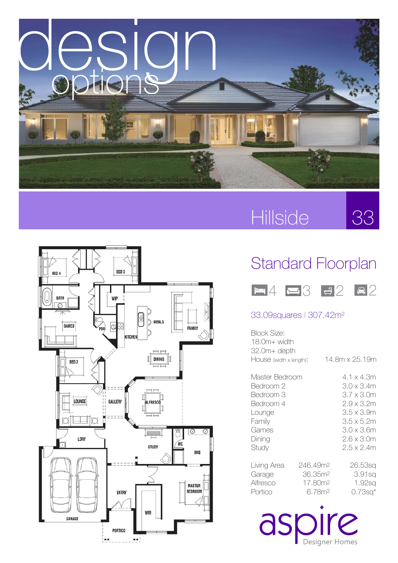

# Hillside





### Standard Floorplan



#### 33.09squares l 307.42m2

| Block Size:<br>$18.0m+width$<br>32.0m+ depth                                                          |                                                                              |                                                                                                                                          |
|-------------------------------------------------------------------------------------------------------|------------------------------------------------------------------------------|------------------------------------------------------------------------------------------------------------------------------------------|
| House (width x length):                                                                               |                                                                              | 14.8m x 25.19m                                                                                                                           |
| Master Bedroom<br>Bedroom 2<br>Bedroom 3<br>Bedroom 4<br>Lounge<br>Family<br>Games<br>Dining<br>Study |                                                                              | 4.1 x 4.3m<br>3.0 x 3.4m<br>3.7 x 3.0m<br>2.9 x 3.2m<br>$3.5 \times 3.9m$<br>3.5 x 5.2m<br>3.0 x 3.6m<br>$2.6 \times 3.0m$<br>2.5 x 2.4m |
| Living Area<br>Garage<br>Alfresco<br>Portico                                                          | 246.49m <sup>2</sup><br>36.35m <sup>2</sup><br>17.80m <sup>2</sup><br>6.78m2 | 26.53sa<br>3.91sq<br>1.92sq<br>$0.73$ sq $*$                                                                                             |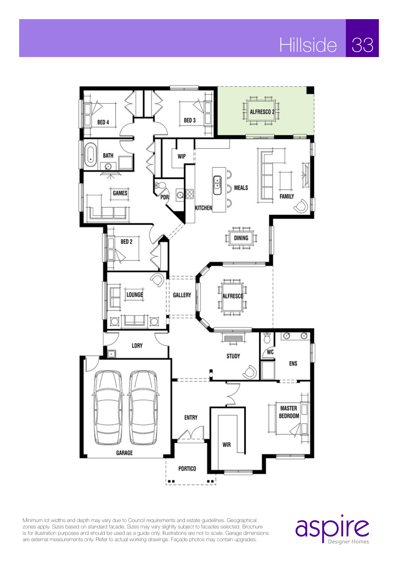# Hillside 33



Minimum lot widths and depth may vary due to Council requirements and estate guidelines. Geographical zones apply. Sizes based on standard facade. Sizes may vary slightly subject to facades selected. Brochure is for illustration purposes and should be used as a guide only. Illustrations are not to scale. Garage dimensions are external measurements only. Refer to actual working drawings. Façade photos may contain upgrades.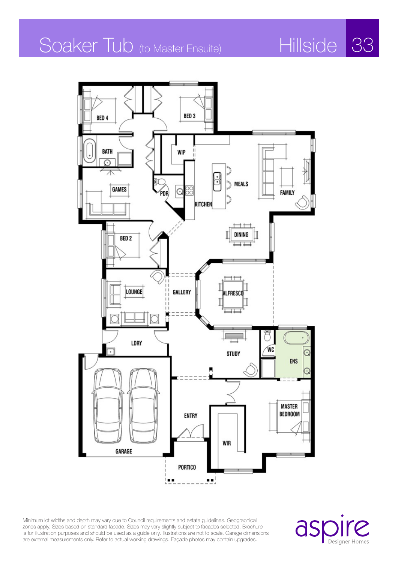## Soaker Tub (to Master Ensuite) Hillside 33

BED<sub>4</sub>

**BATH** 

 $\Omega$ 



**Hillside** 



Minimum lot widths and depth may vary due to Council requirements and estate guidelines. Geographical zones apply. Sizes based on standard facade. Sizes may vary slightly subject to facades selected. Brochure is for illustration purposes and should be used as a guide only. Illustrations are not to scale. Garage dimensions are external measurements only. Refer to actual working drawings. Façade photos may contain upgrades.